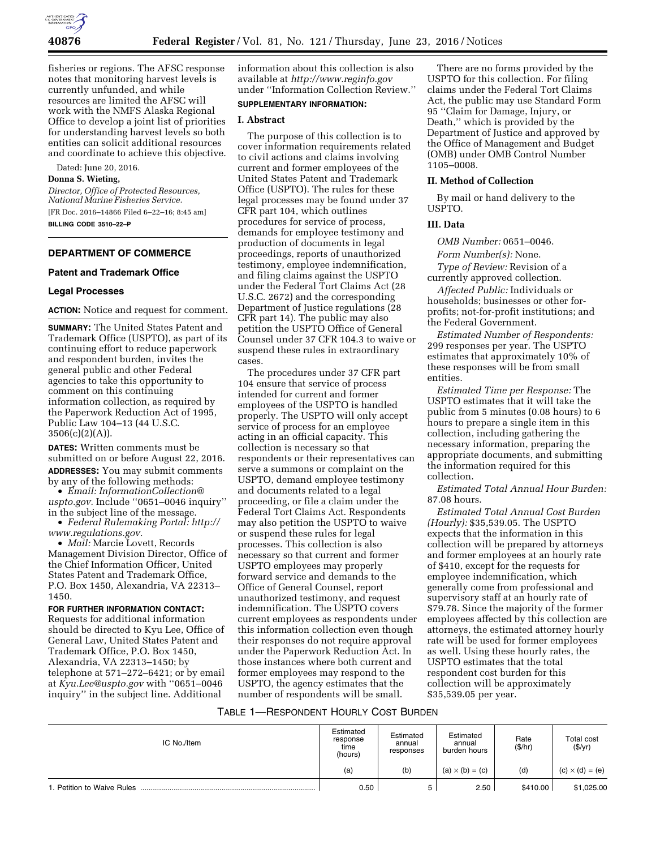

fisheries or regions. The AFSC response notes that monitoring harvest levels is currently unfunded, and while resources are limited the AFSC will work with the NMFS Alaska Regional Office to develop a joint list of priorities for understanding harvest levels so both entities can solicit additional resources and coordinate to achieve this objective.

Dated: June 20, 2016.

## **Donna S. Wieting,**

*Director, Office of Protected Resources, National Marine Fisheries Service.*  [FR Doc. 2016–14866 Filed 6–22–16; 8:45 am] **BILLING CODE 3510–22–P** 

## **DEPARTMENT OF COMMERCE**

## **Patent and Trademark Office**

### **Legal Processes**

**ACTION:** Notice and request for comment.

**SUMMARY:** The United States Patent and Trademark Office (USPTO), as part of its continuing effort to reduce paperwork and respondent burden, invites the general public and other Federal agencies to take this opportunity to comment on this continuing information collection, as required by the Paperwork Reduction Act of 1995, Public Law 104–13 (44 U.S.C.  $3506(c)(2)(A)).$ 

**DATES:** Written comments must be submitted on or before August 22, 2016. **ADDRESSES:** You may submit comments by any of the following methods:

• *Email: [InformationCollection@](mailto:InformationCollection@uspto.gov) [uspto.gov.](mailto:InformationCollection@uspto.gov)* Include ''0651–0046 inquiry'' in the subject line of the message.

• *Federal Rulemaking Portal: [http://](http://www.regulations.gov) [www.regulations.gov.](http://www.regulations.gov)* 

• *Mail:* Marcie Lovett, Records Management Division Director, Office of the Chief Information Officer, United States Patent and Trademark Office, P.O. Box 1450, Alexandria, VA 22313– 1450.

### **FOR FURTHER INFORMATION CONTACT:**

Requests for additional information should be directed to Kyu Lee, Office of General Law, United States Patent and Trademark Office, P.O. Box 1450, Alexandria, VA 22313–1450; by telephone at 571–272–6421; or by email at *[Kyu.Lee@uspto.gov](mailto:Kyu.Lee@uspto.gov)* with ''0651–0046 inquiry'' in the subject line. Additional

information about this collection is also available at *<http://www.reginfo.gov>*  under ''Information Collection Review.''

## **SUPPLEMENTARY INFORMATION:**

### **I. Abstract**

The purpose of this collection is to cover information requirements related to civil actions and claims involving current and former employees of the United States Patent and Trademark Office (USPTO). The rules for these legal processes may be found under 37 CFR part 104, which outlines procedures for service of process, demands for employee testimony and production of documents in legal proceedings, reports of unauthorized testimony, employee indemnification, and filing claims against the USPTO under the Federal Tort Claims Act (28 U.S.C. 2672) and the corresponding Department of Justice regulations (28 CFR part 14). The public may also petition the USPTO Office of General Counsel under 37 CFR 104.3 to waive or suspend these rules in extraordinary cases.

The procedures under 37 CFR part 104 ensure that service of process intended for current and former employees of the USPTO is handled properly. The USPTO will only accept service of process for an employee acting in an official capacity. This collection is necessary so that respondents or their representatives can serve a summons or complaint on the USPTO, demand employee testimony and documents related to a legal proceeding, or file a claim under the Federal Tort Claims Act. Respondents may also petition the USPTO to waive or suspend these rules for legal processes. This collection is also necessary so that current and former USPTO employees may properly forward service and demands to the Office of General Counsel, report unauthorized testimony, and request indemnification. The USPTO covers current employees as respondents under this information collection even though their responses do not require approval under the Paperwork Reduction Act. In those instances where both current and former employees may respond to the USPTO, the agency estimates that the number of respondents will be small.

There are no forms provided by the USPTO for this collection. For filing claims under the Federal Tort Claims Act, the public may use Standard Form 95 ''Claim for Damage, Injury, or Death,'' which is provided by the Department of Justice and approved by the Office of Management and Budget (OMB) under OMB Control Number 1105–0008.

### **II. Method of Collection**

By mail or hand delivery to the USPTO.

### **III. Data**

*OMB Number:* 0651–0046. *Form Number(s):* None.

*Type of Review:* Revision of a currently approved collection.

*Affected Public:* Individuals or households; businesses or other forprofits; not-for-profit institutions; and the Federal Government.

*Estimated Number of Respondents:*  299 responses per year. The USPTO estimates that approximately 10% of these responses will be from small entities.

*Estimated Time per Response:* The USPTO estimates that it will take the public from 5 minutes (0.08 hours) to 6 hours to prepare a single item in this collection, including gathering the necessary information, preparing the appropriate documents, and submitting the information required for this collection.

*Estimated Total Annual Hour Burden:*  87.08 hours.

*Estimated Total Annual Cost Burden (Hourly):* \$35,539.05. The USPTO expects that the information in this collection will be prepared by attorneys and former employees at an hourly rate of \$410, except for the requests for employee indemnification, which generally come from professional and supervisory staff at an hourly rate of \$79.78. Since the majority of the former employees affected by this collection are attorneys, the estimated attorney hourly rate will be used for former employees as well. Using these hourly rates, the USPTO estimates that the total respondent cost burden for this collection will be approximately \$35,539.05 per year.

## TABLE 1—RESPONDENT HOURLY COST BURDEN

| IC No./Item                | Estimated<br>response<br>time<br>(hours) | Estimated<br>annual<br>responses | Estimated<br>annual<br>burden hours | Rate<br>(\$/hr) | <b>Total cost</b><br>(\$/yr) |
|----------------------------|------------------------------------------|----------------------------------|-------------------------------------|-----------------|------------------------------|
|                            | (a)                                      | (b)                              | $(a) \times (b) = (c)$              | (d)             | $(c) \times (d) = (e)$       |
| 1. Petition to Waive Rules | 0.50                                     |                                  | 2.50                                | \$410.00        | \$1,025.00                   |